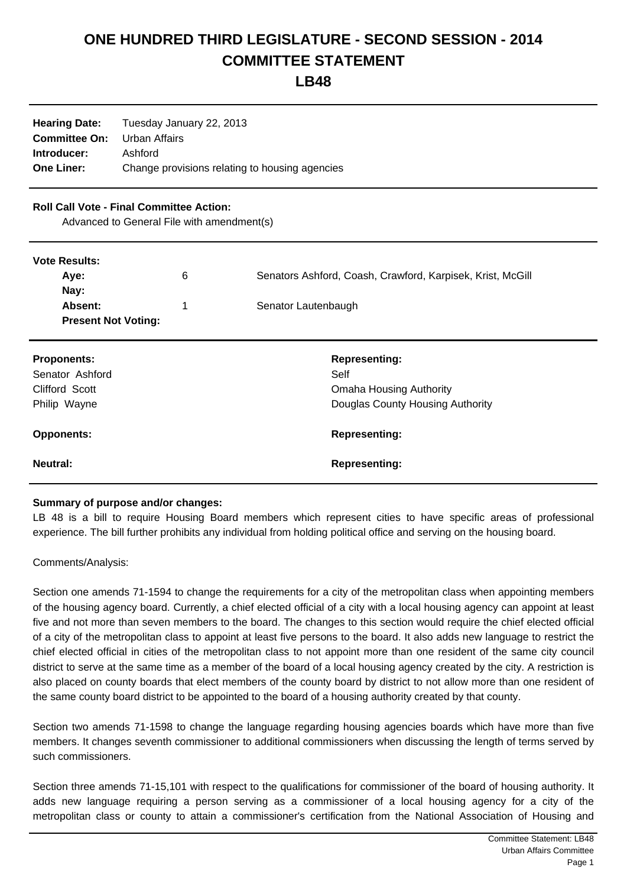## **ONE HUNDRED THIRD LEGISLATURE - SECOND SESSION - 2014 COMMITTEE STATEMENT**

**LB48**

| <b>Hearing Date:</b><br><b>Committee On:</b><br>Introducer:<br><b>One Liner:</b>              | Tuesday January 22, 2013<br>Urban Affairs<br>Ashford<br>Change provisions relating to housing agencies |                                                            |
|-----------------------------------------------------------------------------------------------|--------------------------------------------------------------------------------------------------------|------------------------------------------------------------|
| <b>Roll Call Vote - Final Committee Action:</b><br>Advanced to General File with amendment(s) |                                                                                                        |                                                            |
| <b>Vote Results:</b>                                                                          |                                                                                                        |                                                            |
| Aye:                                                                                          | 6                                                                                                      | Senators Ashford, Coash, Crawford, Karpisek, Krist, McGill |
| Nay:                                                                                          |                                                                                                        |                                                            |
| Absent:<br><b>Present Not Voting:</b>                                                         | 1                                                                                                      | Senator Lautenbaugh                                        |
| <b>Proponents:</b>                                                                            |                                                                                                        | <b>Representing:</b>                                       |
| Senator Ashford                                                                               |                                                                                                        | Self                                                       |
| Clifford Scott                                                                                |                                                                                                        | <b>Omaha Housing Authority</b>                             |
| Philip Wayne                                                                                  |                                                                                                        | Douglas County Housing Authority                           |
| <b>Opponents:</b>                                                                             |                                                                                                        | <b>Representing:</b>                                       |
| <b>Neutral:</b>                                                                               |                                                                                                        | <b>Representing:</b>                                       |

## **Summary of purpose and/or changes:**

LB 48 is a bill to require Housing Board members which represent cities to have specific areas of professional experience. The bill further prohibits any individual from holding political office and serving on the housing board.

## Comments/Analysis:

Section one amends 71-1594 to change the requirements for a city of the metropolitan class when appointing members of the housing agency board. Currently, a chief elected official of a city with a local housing agency can appoint at least five and not more than seven members to the board. The changes to this section would require the chief elected official of a city of the metropolitan class to appoint at least five persons to the board. It also adds new language to restrict the chief elected official in cities of the metropolitan class to not appoint more than one resident of the same city council district to serve at the same time as a member of the board of a local housing agency created by the city. A restriction is also placed on county boards that elect members of the county board by district to not allow more than one resident of the same county board district to be appointed to the board of a housing authority created by that county.

Section two amends 71-1598 to change the language regarding housing agencies boards which have more than five members. It changes seventh commissioner to additional commissioners when discussing the length of terms served by such commissioners.

Section three amends 71-15,101 with respect to the qualifications for commissioner of the board of housing authority. It adds new language requiring a person serving as a commissioner of a local housing agency for a city of the metropolitan class or county to attain a commissioner's certification from the National Association of Housing and